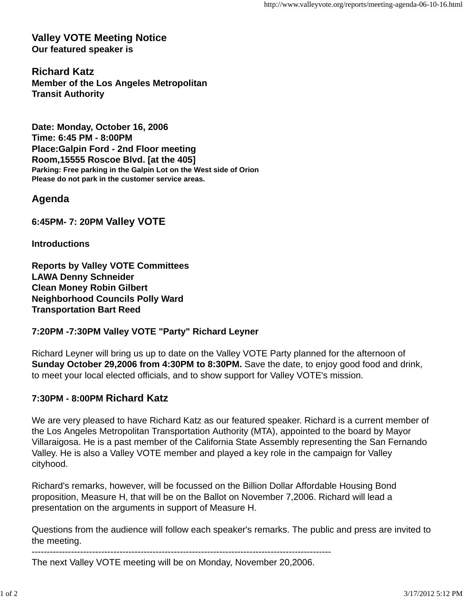**Valley VOTE Meeting Notice Our featured speaker is**

**Richard Katz Member of the Los Angeles Metropolitan Transit Authority**

**Date: Monday, October 16, 2006 Time: 6:45 PM - 8:00PM Place:Galpin Ford - 2nd Floor meeting Room,15555 Roscoe Blvd. [at the 405] Parking: Free parking in the Galpin Lot on the West side of Orion Please do not park in the customer service areas.**

**Agenda**

**6:45PM- 7: 20PM Valley VOTE**

**Introductions**

**Reports by Valley VOTE Committees LAWA Denny Schneider Clean Money Robin Gilbert Neighborhood Councils Polly Ward Transportation Bart Reed**

## **7:20PM -7:30PM Valley VOTE "Party" Richard Leyner**

Richard Leyner will bring us up to date on the Valley VOTE Party planned for the afternoon of **Sunday October 29,2006 from 4:30PM to 8:30PM.** Save the date, to enjoy good food and drink, to meet your local elected officials, and to show support for Valley VOTE's mission.

## **7:30PM - 8:00PM Richard Katz**

We are very pleased to have Richard Katz as our featured speaker. Richard is a current member of the Los Angeles Metropolitan Transportation Authority (MTA), appointed to the board by Mayor Villaraigosa. He is a past member of the California State Assembly representing the San Fernando Valley. He is also a Valley VOTE member and played a key role in the campaign for Valley cityhood.

Richard's remarks, however, will be focussed on the Billion Dollar Affordable Housing Bond proposition, Measure H, that will be on the Ballot on November 7,2006. Richard will lead a presentation on the arguments in support of Measure H.

Questions from the audience will follow each speaker's remarks. The public and press are invited to the meeting.

---------------------------------------------------------------------------------------------------

The next Valley VOTE meeting will be on Monday, November 20,2006.